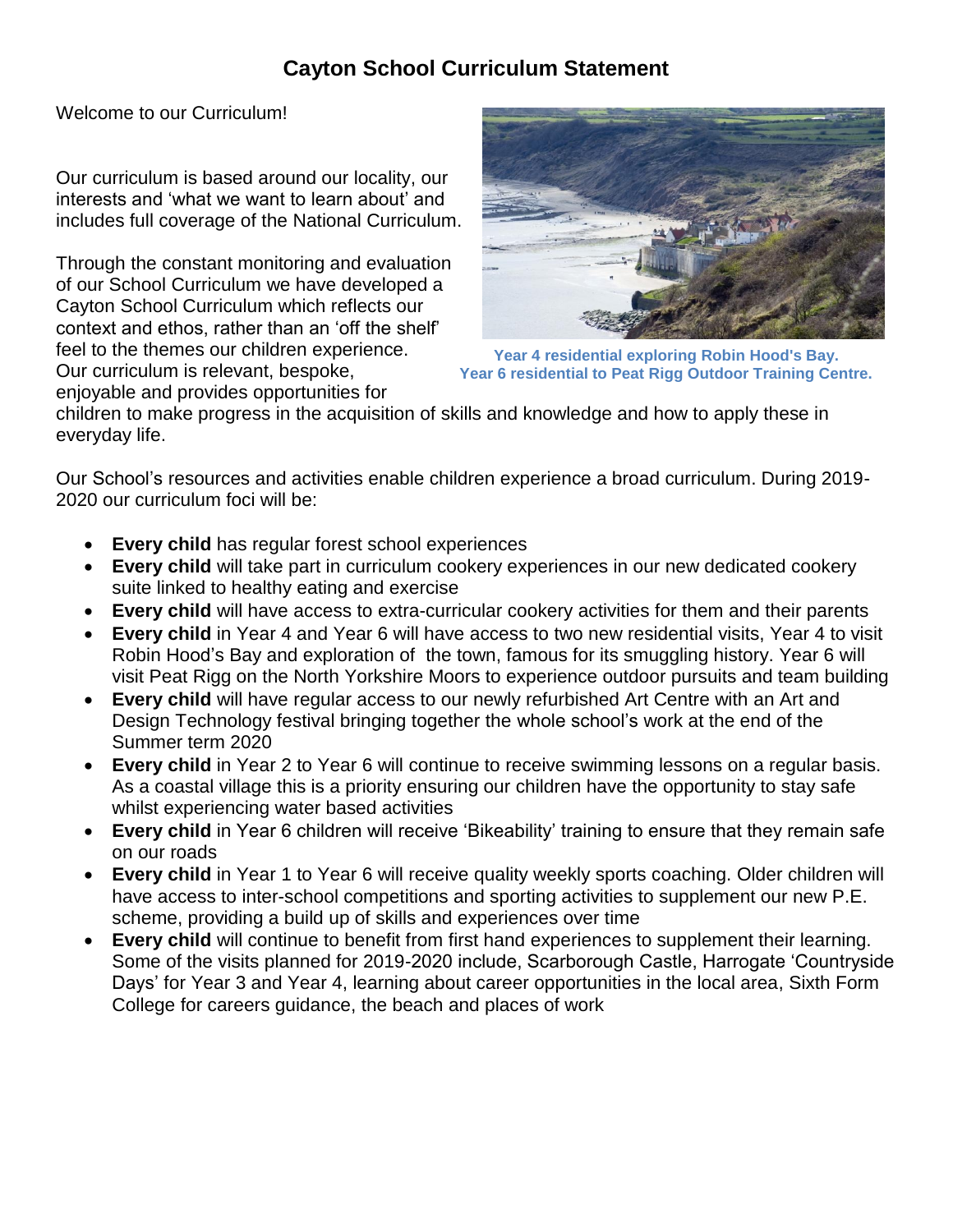## **Cayton School Curriculum Statement**

Welcome to our Curriculum!

Our curriculum is based around our locality, our interests and 'what we want to learn about' and includes full coverage of the National Curriculum.

Through the constant monitoring and evaluation of our School Curriculum we have developed a Cayton School Curriculum which reflects our context and ethos, rather than an 'off the shelf' feel to the themes our children experience. Our curriculum is relevant, bespoke, enjoyable and provides opportunities for



**Year 4 residential exploring Robin Hood's Bay. Year 6 residential to Peat Rigg Outdoor Training Centre.**

children to make progress in the acquisition of skills and knowledge and how to apply these in everyday life.

Our School's resources and activities enable children experience a broad curriculum. During 2019- 2020 our curriculum foci will be:

- **Every child** has regular forest school experiences
- **Every child** will take part in curriculum cookery experiences in our new dedicated cookery suite linked to healthy eating and exercise
- **Every child** will have access to extra-curricular cookery activities for them and their parents
- **Every child** in Year 4 and Year 6 will have access to two new residential visits, Year 4 to visit Robin Hood's Bay and exploration of the town, famous for its smuggling history. Year 6 will visit Peat Rigg on the North Yorkshire Moors to experience outdoor pursuits and team building
- **Every child** will have regular access to our newly refurbished Art Centre with an Art and Design Technology festival bringing together the whole school's work at the end of the Summer term 2020
- **Every child** in Year 2 to Year 6 will continue to receive swimming lessons on a regular basis. As a coastal village this is a priority ensuring our children have the opportunity to stay safe whilst experiencing water based activities
- **Every child** in Year 6 children will receive 'Bikeability' training to ensure that they remain safe on our roads
- **Every child** in Year 1 to Year 6 will receive quality weekly sports coaching. Older children will have access to inter-school competitions and sporting activities to supplement our new P.E. scheme, providing a build up of skills and experiences over time
- **Every child** will continue to benefit from first hand experiences to supplement their learning. Some of the visits planned for 2019-2020 include, Scarborough Castle, Harrogate 'Countryside Days' for Year 3 and Year 4, learning about career opportunities in the local area, Sixth Form College for careers guidance, the beach and places of work